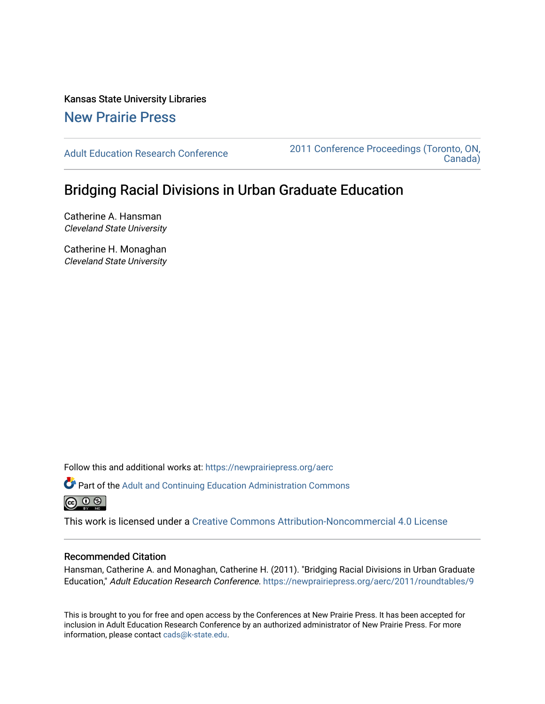Kansas State University Libraries [New Prairie Press](https://newprairiepress.org/) 

[Adult Education Research Conference](https://newprairiepress.org/aerc) [2011 Conference Proceedings \(Toronto, ON,](https://newprairiepress.org/aerc/2011)  [Canada\)](https://newprairiepress.org/aerc/2011) 

## Bridging Racial Divisions in Urban Graduate Education

Catherine A. Hansman Cleveland State University

Catherine H. Monaghan Cleveland State University

Follow this and additional works at: [https://newprairiepress.org/aerc](https://newprairiepress.org/aerc?utm_source=newprairiepress.org%2Faerc%2F2011%2Froundtables%2F9&utm_medium=PDF&utm_campaign=PDFCoverPages)

Part of the [Adult and Continuing Education Administration Commons](http://network.bepress.com/hgg/discipline/789?utm_source=newprairiepress.org%2Faerc%2F2011%2Froundtables%2F9&utm_medium=PDF&utm_campaign=PDFCoverPages)  $\circledcirc$   $\circledcirc$ 

This work is licensed under a [Creative Commons Attribution-Noncommercial 4.0 License](https://creativecommons.org/licenses/by-nc/4.0/)

## Recommended Citation

Hansman, Catherine A. and Monaghan, Catherine H. (2011). "Bridging Racial Divisions in Urban Graduate Education," Adult Education Research Conference. <https://newprairiepress.org/aerc/2011/roundtables/9>

This is brought to you for free and open access by the Conferences at New Prairie Press. It has been accepted for inclusion in Adult Education Research Conference by an authorized administrator of New Prairie Press. For more information, please contact [cads@k-state.edu](mailto:cads@k-state.edu).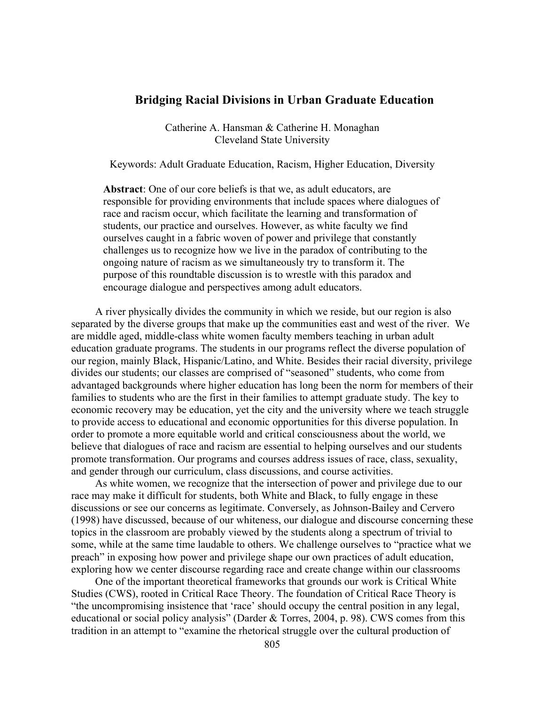## **Bridging Racial Divisions in Urban Graduate Education**

Catherine A. Hansman & Catherine H. Monaghan Cleveland State University

Keywords: Adult Graduate Education, Racism, Higher Education, Diversity

**Abstract**: One of our core beliefs is that we, as adult educators, are responsible for providing environments that include spaces where dialogues of race and racism occur, which facilitate the learning and transformation of students, our practice and ourselves. However, as white faculty we find ourselves caught in a fabric woven of power and privilege that constantly challenges us to recognize how we live in the paradox of contributing to the ongoing nature of racism as we simultaneously try to transform it. The purpose of this roundtable discussion is to wrestle with this paradox and encourage dialogue and perspectives among adult educators.

A river physically divides the community in which we reside, but our region is also separated by the diverse groups that make up the communities east and west of the river. We are middle aged, middle-class white women faculty members teaching in urban adult education graduate programs. The students in our programs reflect the diverse population of our region, mainly Black, Hispanic/Latino, and White. Besides their racial diversity, privilege divides our students; our classes are comprised of "seasoned" students, who come from advantaged backgrounds where higher education has long been the norm for members of their families to students who are the first in their families to attempt graduate study. The key to economic recovery may be education, yet the city and the university where we teach struggle to provide access to educational and economic opportunities for this diverse population. In order to promote a more equitable world and critical consciousness about the world, we believe that dialogues of race and racism are essential to helping ourselves and our students promote transformation. Our programs and courses address issues of race, class, sexuality, and gender through our curriculum, class discussions, and course activities.

As white women, we recognize that the intersection of power and privilege due to our race may make it difficult for students, both White and Black, to fully engage in these discussions or see our concerns as legitimate. Conversely, as Johnson-Bailey and Cervero (1998) have discussed, because of our whiteness, our dialogue and discourse concerning these topics in the classroom are probably viewed by the students along a spectrum of trivial to some, while at the same time laudable to others. We challenge ourselves to "practice what we preach" in exposing how power and privilege shape our own practices of adult education, exploring how we center discourse regarding race and create change within our classrooms

One of the important theoretical frameworks that grounds our work is Critical White Studies (CWS), rooted in Critical Race Theory. The foundation of Critical Race Theory is "the uncompromising insistence that 'race' should occupy the central position in any legal, educational or social policy analysis" (Darder & Torres, 2004, p. 98). CWS comes from this tradition in an attempt to "examine the rhetorical struggle over the cultural production of